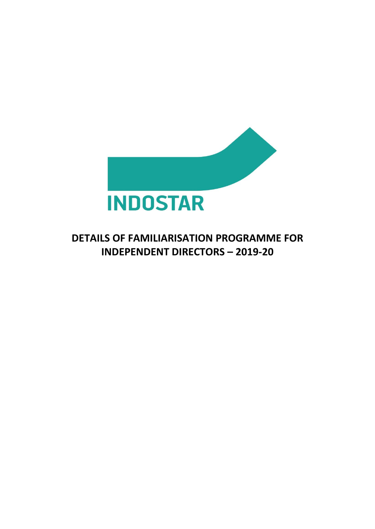

## **DETAILS OF FAMILIARISATION PROGRAMME FOR INDEPENDENT DIRECTORS – 2019-20**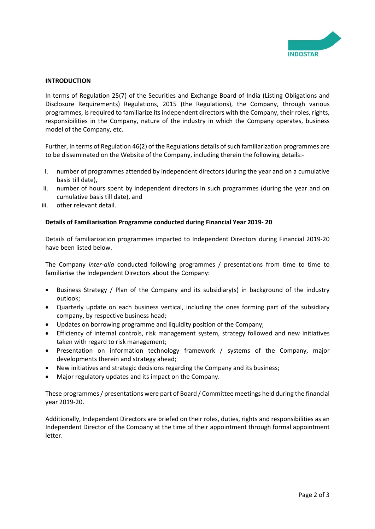

## **INTRODUCTION**

In terms of Regulation 25(7) of the Securities and Exchange Board of India (Listing Obligations and Disclosure Requirements) Regulations, 2015 (the Regulations), the Company, through various programmes, is required to familiarize its independent directors with the Company, their roles, rights, responsibilities in the Company, nature of the industry in which the Company operates, business model of the Company, etc.

Further, in terms of Regulation 46(2) of the Regulations details of such familiarization programmes are to be disseminated on the Website of the Company, including therein the following details:-

- i. number of programmes attended by independent directors (during the year and on a cumulative basis till date),
- ii. number of hours spent by independent directors in such programmes (during the year and on cumulative basis till date), and
- iii. other relevant detail.

## **Details of Familiarisation Programme conducted during Financial Year 2019- 20**

Details of familiarization programmes imparted to Independent Directors during Financial 2019-20 have been listed below.

The Company *inter-alia* conducted following programmes / presentations from time to time to familiarise the Independent Directors about the Company:

- Business Strategy / Plan of the Company and its subsidiary(s) in background of the industry outlook;
- Quarterly update on each business vertical, including the ones forming part of the subsidiary company, by respective business head;
- Updates on borrowing programme and liquidity position of the Company;
- Efficiency of internal controls, risk management system, strategy followed and new initiatives taken with regard to risk management;
- Presentation on information technology framework / systems of the Company, major developments therein and strategy ahead;
- New initiatives and strategic decisions regarding the Company and its business;
- Major regulatory updates and its impact on the Company.

These programmes / presentations were part of Board / Committee meetings held during the financial year 2019-20.

Additionally, Independent Directors are briefed on their roles, duties, rights and responsibilities as an Independent Director of the Company at the time of their appointment through formal appointment letter.